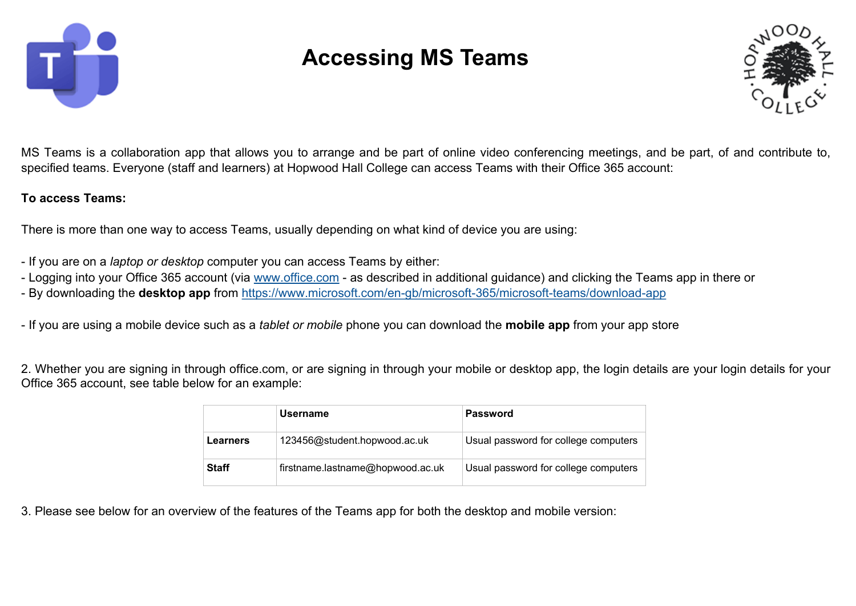

## **Accessing MS Teams**



MS Teams is a collaboration app that allows you to arrange and be part of online video conferencing meetings, and be part, of and contribute to, specified teams. Everyone (staff and learners) at Hopwood Hall College can access Teams with their Office 365 account:

## **To access Teams:**

There is more than one way to access Teams, usually depending on what kind of device you are using:

- If you are on a *laptop or desktop* computer you can access Teams by either:
- Logging into your Office 365 account (via [www.office.com](http://www.office.com) as described in additional guidance) and clicking the Teams app in there or
- By downloading the **desktop app** from [https://www.microsoft.com/en](https://www.microsoft.com/en-gb/microsoft-365/microsoft-teams/download-app)-gb/microsoft-365/microsoft-teams/download-app

- If you are using a mobile device such as a *tablet or mobile* phone you can download the **mobile app** from your app store

2. Whether you are signing in through office.com, or are signing in through your mobile or desktop app, the login details are your login details for your Office 365 account, see table below for an example:

|                 | <b>Username</b>                  | <b>Password</b>                      |
|-----------------|----------------------------------|--------------------------------------|
| <b>Learners</b> | 123456@student.hopwood.ac.uk     | Usual password for college computers |
| <b>Staff</b>    | firstname.lastname@hopwood.ac.uk | Usual password for college computers |

3. Please see below for an overview of the features of the Teams app for both the desktop and mobile version: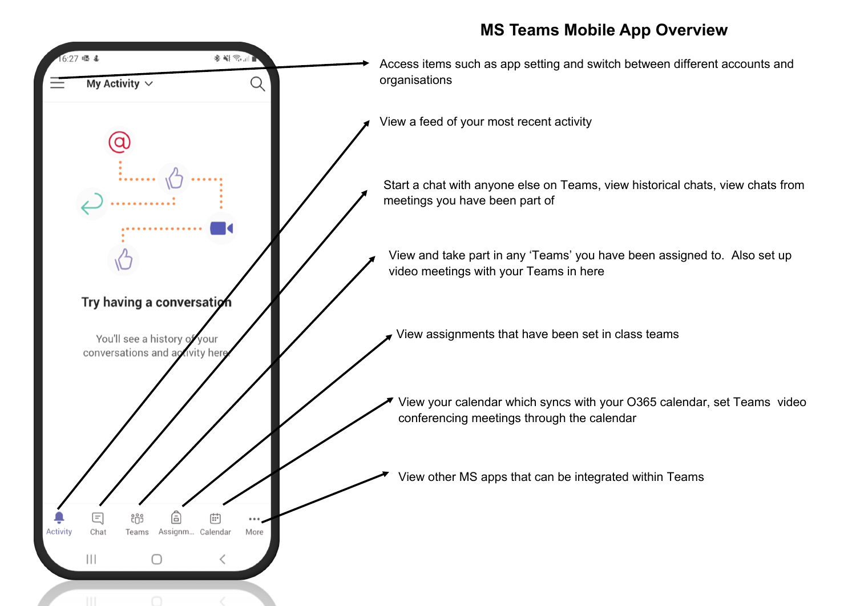## **MS Teams Mobile App Overview**